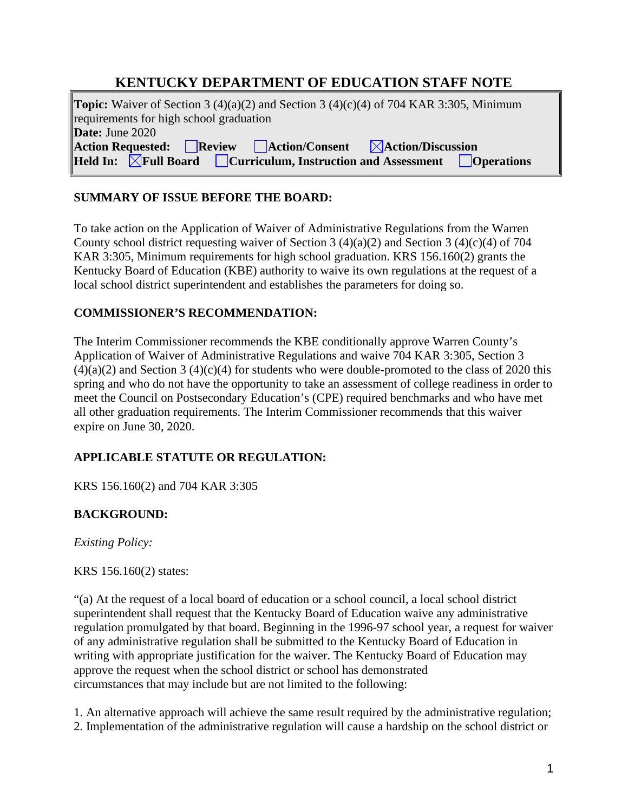# **KENTUCKY DEPARTMENT OF EDUCATION STAFF NOTE**

**Topic:** Waiver of Section 3 (4)(a)(2) and Section 3 (4)(c)(4) of 704 KAR 3:305, Minimum requirements for high school graduation **Date:** June 2020 Action Requested: Review Action/Consent **Action/Discussion**<br> **Held In: AFull Board Curriculum, Instruction and Assessment CC Held Influential Board Curriculum, Instruction and Assessment Departum Operations** 

### **SUMMARY OF ISSUE BEFORE THE BOARD:**

To take action on the Application of Waiver of Administrative Regulations from the Warren County school district requesting waiver of Section 3 (4)(a)(2) and Section 3 (4)(c)(4) of 704 KAR 3:305, Minimum requirements for high school graduation. KRS 156.160(2) grants the Kentucky Board of Education (KBE) authority to waive its own regulations at the request of a local school district superintendent and establishes the parameters for doing so.

### **COMMISSIONER'S RECOMMENDATION:**

The Interim Commissioner recommends the KBE conditionally approve Warren County's Application of Waiver of Administrative Regulations and waive 704 KAR 3:305, Section 3  $(4)(a)(2)$  and Section 3  $(4)(c)(4)$  for students who were double-promoted to the class of 2020 this spring and who do not have the opportunity to take an assessment of college readiness in order to meet the Council on Postsecondary Education's (CPE) required benchmarks and who have met all other graduation requirements. The Interim Commissioner recommends that this waiver expire on June 30, 2020.

# **APPLICABLE STATUTE OR REGULATION:**

KRS 156.160(2) and 704 KAR 3:305

# **BACKGROUND:**

*Existing Policy:*

### KRS 156.160(2) states:

"(a) At the request of a local board of education or a school council, a local school district superintendent shall request that the Kentucky Board of Education waive any administrative regulation promulgated by that board. Beginning in the 1996-97 school year, a request for waiver of any administrative regulation shall be submitted to the Kentucky Board of Education in writing with appropriate justification for the waiver. The Kentucky Board of Education may approve the request when the school district or school has demonstrated circumstances that may include but are not limited to the following:

1. An alternative approach will achieve the same result required by the administrative regulation; 2. Implementation of the administrative regulation will cause a hardship on the school district or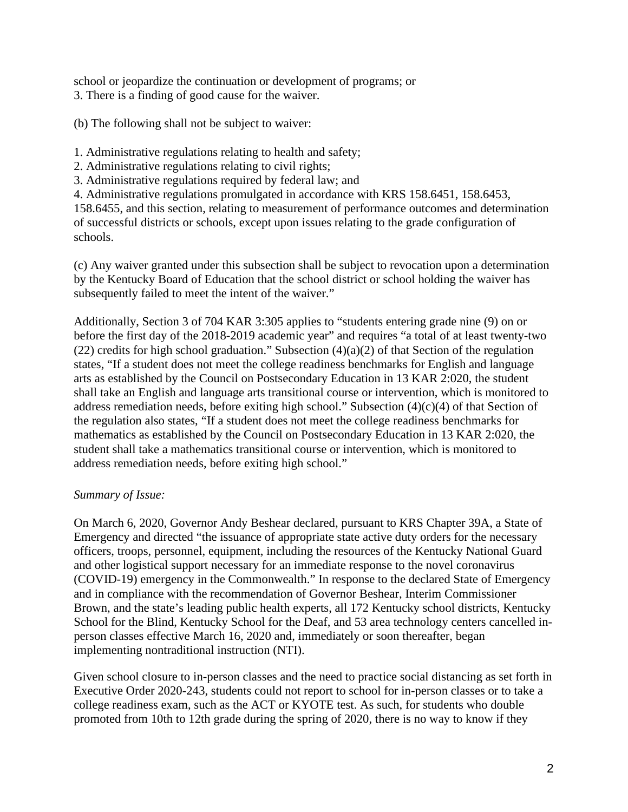school or jeopardize the continuation or development of programs; or 3. There is a finding of good cause for the waiver.

(b) The following shall not be subject to waiver:

1. Administrative regulations relating to health and safety;

- 2. Administrative regulations relating to civil rights;
- 3. Administrative regulations required by federal law; and

4. Administrative regulations promulgated in accordance with KRS 158.6451, 158.6453,

158.6455, and this section, relating to measurement of performance outcomes and determination of successful districts or schools, except upon issues relating to the grade configuration of schools.

(c) Any waiver granted under this subsection shall be subject to revocation upon a determination by the Kentucky Board of Education that the school district or school holding the waiver has subsequently failed to meet the intent of the waiver."

Additionally, Section 3 of 704 KAR 3:305 applies to "students entering grade nine (9) on or before the first day of the 2018-2019 academic year" and requires "a total of at least twenty-two (22) credits for high school graduation." Subsection  $(4)(a)(2)$  of that Section of the regulation states, "If a student does not meet the college readiness benchmarks for English and language arts as established by the Council on Postsecondary Education in 13 KAR 2:020, the student shall take an English and language arts transitional course or intervention, which is monitored to address remediation needs, before exiting high school." Subsection  $(4)(c)(4)$  of that Section of the regulation also states, "If a student does not meet the college readiness benchmarks for mathematics as established by the Council on Postsecondary Education in 13 KAR 2:020, the student shall take a mathematics transitional course or intervention, which is monitored to address remediation needs, before exiting high school."

### *Summary of Issue:*

On March 6, 2020, Governor Andy Beshear declared, pursuant to KRS Chapter 39A, a State of Emergency and directed "the issuance of appropriate state active duty orders for the necessary officers, troops, personnel, equipment, including the resources of the Kentucky National Guard and other logistical support necessary for an immediate response to the novel coronavirus (COVID-19) emergency in the Commonwealth." In response to the declared State of Emergency and in compliance with the recommendation of Governor Beshear, Interim Commissioner Brown, and the state's leading public health experts, all 172 Kentucky school districts, Kentucky School for the Blind, Kentucky School for the Deaf, and 53 area technology centers cancelled inperson classes effective March 16, 2020 and, immediately or soon thereafter, began implementing nontraditional instruction (NTI).

Given school closure to in-person classes and the need to practice social distancing as set forth in Executive Order 2020-243, students could not report to school for in-person classes or to take a college readiness exam, such as the ACT or KYOTE test. As such, for students who double promoted from 10th to 12th grade during the spring of 2020, there is no way to know if they